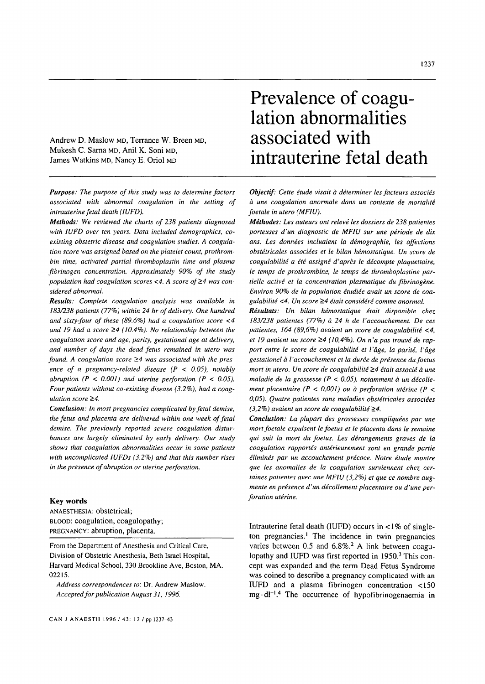Andrew D. Maslow MD, Terrance W. Breen MD, Mukesh C. Sarna MD, Anil K. Soni MD, James Watkins MD, Nancy E. Oriol MD

*Purpose: The purpose of this study was to determine factors associated with abnormal coagulation in the setting of intrauterine fetal death (IUFD).* 

*Methods: We reviewed the charts of 238 patients diagnosed with 1UFD over ten years. Data included demographics, coexisting obstetric disease and coagulation studies. A coagulation score was assigned based on the platelet count, prothrombin time, activated partial thrombopfastin time and plasma fibrinogen concentration. Approximately 90% of the study population had coagulation scores <4. A score of*  $\geq$ *4 was considered abnormal.* 

*Results: Complete coagulation analysis was available in 183/238 patients (77%) within 24 hr of delivery. One hundred and sixty-four of these (89.6%) had a coagulation score <4 and 19 had a score >4 (10.4%). No relationship between the coagulation score and age, parity, gestational age at delivery, and number of days the dead fetus remained in utero was found. A coagulation score* ≥4 was associated with the pres*ence of a pregnancy-related disease (P < 0.05), notably abruption (P < 0.001) and uterine perforation (P < 0.05). Four patients without co-existing disease (3.2%), had a coagulation score* ≥4.

*Conclusion: In most pregnancies complicated by fetal demise, the fetus and placenta are delivered within one week of fetal demise. The previously reported severe coagulation disturbances are largely eliminated by early delivery. Our study shows that coagulation abnormalities occur in some patients with uncomplicated IUFDs (3.2%) and that this number rises in the presence of abruption or uterine perforation.* 

## **Key** words

ANAESTHESIA: obstetrical; BLOOD: coagulation, coagulopathy; PREGNANCY: abruption, placenta.

From the Department of Anesthesia and Critical Care, Division of Obstetric Anesthesia, Beth Israel Hospital, Harvard Medical School, 330 Brookline Ave, Boston, MA. 02215.

*Address correspondences to:* Dr. Andrew Maslow. *Accepted for publication August 31, 1996.* 

# **Prevalence of coagulation abnormalities associated with intrauterine fetal death**

*Objectif: Cette étude visait à déterminer les facteurs associés*  $\dot{a}$  une coagulation anormale dans un contexte de mortalité *foetale in utero (MFIU).* 

*Méthodes: Les auteurs ont relevé les dossiers de 238 patientes* porteuses d'un diagnostic de MFIU sur une période de dix *ans. Les donndes incluaient la d6mographie, les affections obst6tricales associges et le bilan h6mostatique. Un score de coagulabilité a été assigné d'après le décompte plaquettaire, te temps de prothrombine, te temps de thromboplastine partielle activé et la concentration plasmatique du fibrinogène. Environ 90% de la population gtudide avait un score de coa*gulabilité <4. Un score ≥4 était considéré comme anormal.

*R~sultats: Un bilan h6mostatique dtait disponible chez 183/238 patientes (77%) h 24 h de l'accouchement. De ces patientes, 164 (89,6%) avaient un score de coagulabilit~ <4,*  et 19 avaient un score  $\geq$ 4 (10,4%). On n'a pas trouvé de rapport entre le score de coagulabilité et l'âge, la parité, l'âge *gestationel h l'accouchement et la durde de presence du foetus mort in utero. Un score de coagulabilité* ≥4 était associé à une *maladie de la grossesse (P < 0,05), notamment à un décollement placentaire (P < 0,001) ou à perforation utérine (P <*  $\blacksquare$ 0,05). Quatre patientes sans maladies obstétricales associées  $(3,2\%)$  avaient un score de coagulabilité  $\geq 4$ .

*Conclusion: La plupart des grossesses compliquées par une mort foetale expulsent le foetus et le placenta dans le semaine qui suit la mort du foetus. Les d6rangements graves de la*   $coagulation$  rapportés antérieurement sont en grande partie éliminés par un accouchement précoce. Notre étude montre *que les anomalies de la coagulation surviennent chez certaines patientes avec une MFIU (3,2%) et que ce nombre aug*mente en présence d'un décollement placentaire ou d'une per*foration uterine.* 

Intrauterine fetal death (IUFD) occurs in  $\lt 1\%$  of singleton pregnancies.<sup>1</sup> The incidence in twin pregnancies varies between 0.5 and 6.8%.<sup>2</sup> A link between coagulopathy and IUFD was first reported in 1950.<sup>3</sup> This concept was expanded and the term Dead Fetus Syndrome was coined to describe a pregnancy complicated with an IUFD and a plasma fibrinogen concentration <150  $mg \cdot dl^{-1}$ .<sup>4</sup> The occurrence of hypofibrinogenaemia in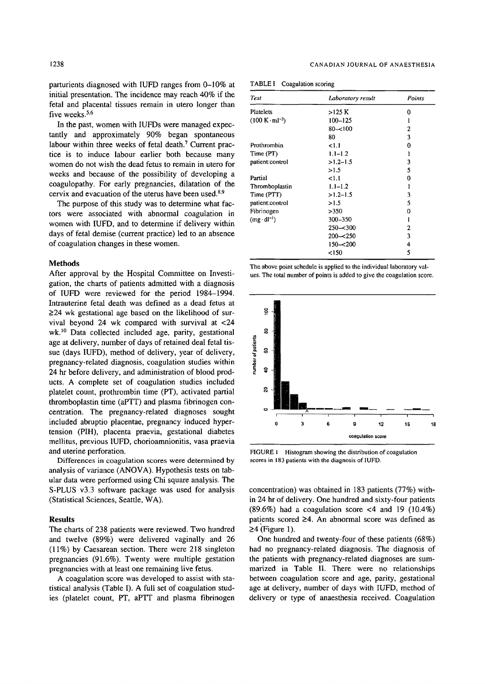parturients diagnosed with IUFD ranges from 0-10% at initial presentation. The incidence may reach 40% if the fetal and placental tissues remain in utero longer than five weeks.<sup>5,6</sup>

In the past, women with IUFDs were managed expectantly and approximately 90% began spontaneous labour within three weeks of fetal death.<sup>7</sup> Current practice is to induce labour earlier both because many women do not wish the dead fetus to remain in utero for weeks and because of the possibility of developing a coagulopathy. For early pregnancies, dilatation of the cervix and evacuation of the uterus have been used.<sup>8,9</sup>

The purpose of this study was to determine what factors were associated with abnormal coagulation in women with IUFD, and to determine if delivery within days of fetal demise (current practice) led to an absence of coagulation changes in these women.

## **Methods**

After approval by the Hospital Committee on Investigation, the charts of patients admitted with a diagnosis of IUFD were reviewed for the period 1984-1994. Intrauterine fetal death was defined as a dead fetus at  $\geq$ 24 wk gestational age based on the likelihood of survival beyond 24 wk compared with survival at <24 wk.<sup>10</sup> Data collected included age, parity, gestational age at delivery, number of days of retained deal fetal tissue (days IUFD), method of delivery, year of delivery, pregnancy-related diagnosis, coagulation studies within 24 hr before delivery, and administration of blood products. A complete set of coagulation studies included platelet count, prothrombin time (PT), activated partial thromboplastin time (aPTT) and plasma fibrinogen concentration. The pregnancy-related diagnoses sought included abruptio placentae, pregnancy induced hypertension (PIH), placenta praevia, gestational diabetes mellitus, previous IUFD, chorioamnionitis, vasa praevia and uterine perforation.

Differences in coagulation scores were determined by analysis of variance (ANOVA). Hypothesis tests on tabular data were performed using Chi square analysis. The S-PLUS v3.3 software package was used for analysis (Statistical Sciences, Seattle, WA).

#### **Results**

The charts of 238 patients were reviewed. Two hundred and twelve (89%) were delivered vaginally and 26 (11%) by Caesarean section. There were 218 singleton pregnancies (91.6%). Twenty were multiple gestation pregnancies with at least one remaining live fetus.

A coagulation score was developed to assist with statistical analysis (Table I). A full set of coagulation studies (platelet count, PT, aPTT and plasma fibrinogen

| <b>Test</b>                            | Laboratory result | Points       |
|----------------------------------------|-------------------|--------------|
| Platelets                              | >125 K            | 0            |
| $(100 \text{ K} \cdot \text{ml}^{-3})$ | $100 - 125$       |              |
|                                        | $80 - 100$        | 2            |
|                                        | 80                | 3            |
| Prothrombin                            | 1.1               | 0            |
| Time (PT)                              | $1.1 - 1.2$       |              |
| patient:control                        | $>1.2 - 1.5$      | 3            |
|                                        | >1.5              | 5            |
| Partial                                | 1.1               | 0            |
| Thromboplastin                         | $1.1 - 1.2$       |              |
| Time (PTT)                             | $>1.2 - 1.5$      | 3            |
| patient:control                        | >1.5              | 5            |
| Fibrinogen                             | >350              | 0            |
| $(mg \cdot dl^{-1})$                   | 300-350           |              |
|                                        | $250 - 300$       | $\mathbf{2}$ |
|                                        | $200 - 250$       | 3            |
|                                        | $150 - 200$       | 4            |
|                                        | < 150             | 5            |

TABLE I Coagulation scoring

The above point schedule is applied to the individual laboratory values. The total number of points is added to give the coagulation score.



FIGURE I Histogram showing the distribution of coagulation scores in 183 patients with the diagnosis of IUFD.

concentration) was obtained in 183 patients (77%) within 24 hr of delivery. One hundred and sixty-four patients  $(89.6\%)$  had a coagulation score <4 and 19  $(10.4\%)$ patients scored  $\geq$ 4. An abnormal score was defined as  $\geq$ 4 (Figure 1).

One hundred and twenty-four of these patients (68%) had no pregnancy-related diagnosis. The diagnosis of the patients with pregnancy-related diagnoses are summarized in Table II. There were no relationships between coagulation score and age, parity, gestational age at delivery, number of days with IUFD, method of delivery or type of anaesthesia received. Coagulation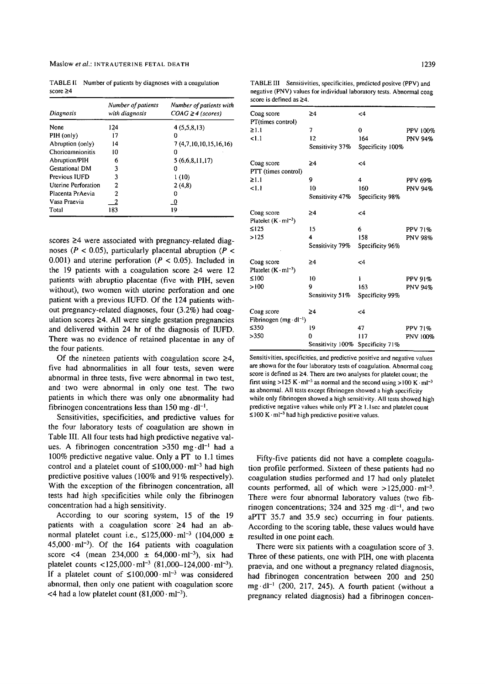TABLE ii Number of patients by diagnoses with a coagulation score  $\geq 4$ 

| Diagnosis             | Number of patients<br>with diagnosis | Number of patients with<br>$COAG \geq 4$ (scores) |
|-----------------------|--------------------------------------|---------------------------------------------------|
| None                  | 124                                  | 4(5,5,8,13)                                       |
| PIH (only)            | 17                                   |                                                   |
| Abruption (only)      | 14                                   | 7(4,7,10,10,15,16,16)                             |
| Chorioamnionitis      | 10                                   | 0                                                 |
| Abruption/PIH         | 6                                    | 5(6,6,8,11,17)                                    |
| <b>Gestational DM</b> | 3                                    | 0                                                 |
| Previous IUFD         | 3                                    | 1(10)                                             |
| Uterine Perforation   | 2                                    | 2(4,8)                                            |
| Placenta PrAevia      | 2                                    |                                                   |
| Vasa Praevia          |                                      | - 0                                               |
| Total                 | 183                                  | 19                                                |

scores  $\geq$ 4 were associated with pregnancy-related diagnoses ( $P < 0.05$ ), particularly placental abruption ( $P <$ 0.001) and uterine perforation ( $P < 0.05$ ). Included in the 19 patients with a coagulation score  $\geq 4$  were 12 patients with abruptio placentae (five with PIH, seven without), two women with uterine perforation and one patient with a previous IUFD. Of the 124 patients without pregnancy-related diagnoses, four (3.2%) had coagulation scores  $\geq 4$ . All were single gestation pregnancies and delivered within 24 hr of the diagnosis of IUFD. There was no evidence of retained placentae in any of the four patients.

Of the nineteen patients with coagulation score  $\geq 4$ , five had abnormalities in all four tests, seven were abnormal in three tests, five were abnormal in two test, and two were abnormal in only one test. The two patients in which there was only one abnormality had fibrinogen concentrations less than 150 mg $-dl^{-1}$ .

Sensitivities, specificities, and predictive values for the four laboratory tests of coagulation are shown in Table III. All four tests had high predictive negative values. A fibrinogen concentration  $>350$  mg·dl<sup>-1</sup> had a 100% predictive negative value. Only a PT to 1.1 times control and a platelet count of  $\leq 100,000 \cdot \text{ml}^{-3}$  had high predictive positive values (100% and 91% respectively). With the exception of the fibrinogen concentration, all tests had high specificities while only the fibrinogen concentration had a high sensitivity.

According to our scoring system, 15 of the 19 patients with a coagulation score  $\geq 4$  had an abnormal platelet count i.e.,  $\leq 125,000 \cdot \text{ml}^{-3}$  (104,000  $\pm$  $45,000 \cdot \text{ml}^{-3}$ . Of the 164 patients with coagulation score <4 (mean  $234,000 \pm 64,000 \cdot \text{m1}^{-3}$ ), six had platelet counts <125,000 $\cdot$  ml<sup>-3</sup> (81,000-124,000 $\cdot$  ml<sup>-3</sup>). If a platelet count of  $\leq 100,000 \cdot \text{ml}^{-3}$  was considered abnormal, then only one patient with coagulation score <4 had a low platelet count  $(81,000 \cdot \text{m}l^{-3})$ .

| Coag score<br>PT(times control)               | ≥4                | $\leq 4$         |                |
|-----------------------------------------------|-------------------|------------------|----------------|
| $\geq 1.1$                                    | 7                 | 0                | PPV 100%       |
| 1.1                                           | $12 \overline{ }$ | 164              | <b>PNV 94%</b> |
|                                               | Sensitivity 37%   | Specificity 100% |                |
| Coag score<br>PTT (times control)             | 24                | <4               |                |
| $\geq 1.1$                                    | 9                 | 4                | <b>PPV 69%</b> |
| <1.1                                          | 10                | 160              | <b>PNV 94%</b> |
|                                               | Sensitivity 47%   | Specificity 98%  |                |
| Coag score<br>Platelet $(K \cdot ml^{-3})$    | ≥4                | <4               |                |
| $\leq$ 125                                    | 15                | 6                | PPV 71%        |
| >125                                          | 4                 | 158              | <b>PNV 98%</b> |
|                                               | Sensitivity 79%   | Specificity 96%  |                |
| Coag score<br>Platelet $(K \cdot ml^{-3})$    | ≥4                | $\leq$ 4         |                |
| ≤100                                          | 10                | ı                | <b>PPV 91%</b> |
| >100                                          | 9                 | 163              | PNV 94%        |
|                                               | Sensitivity 51%   | Specificity 99%  |                |
| Coag score<br>Fibrinogen $(mg \cdot dl^{-1})$ | ≥4                | <4               |                |
| $\leq$ 350                                    | 19                | 47               | PPV 71%        |
| >350                                          | 0                 | 117              | PNV 100%       |
|                                               | Sensitivity 100%  | Specificity 71%  |                |

Sensitivities, specificities, and predictive positive and negative values are shown for the four laboratory tests of coagulation. Abnormal coag score is defined as  $\geq$ 4. There are two analyses for platelet count; the first using >125 K $\cdot$  ml<sup>-3</sup> as normal and the second using >100 K $\cdot$  ml<sup>-3</sup> as abnormal. All tests except fibrinogen showed a high specificity while only fibrinogen showed a high sensitivity. All tests showed high predictive negative values while only  $PT \ge 1.1$ sec and platelet count  $\leq$ 100 K $\cdot$  ml<sup>-3</sup> had high predictive positive values.

Fifty-five patients did not have a complete coagulation profile performed. Sixteen of these patients had no coagulation studies performed and 17 had only platelet counts performed, all of which were  $>125,000 \cdot ml^{-3}$ . There were four abnormal laboratory values (two fibrinogen concentrations; 324 and 325  $mg \, dl^{-1}$ , and two aPTT 35.7 and 35.9 sec) occurring in four patients. According to the scoring table, these values would have resulted in one point each.

There were six patients with a coagulation score of 3. Three of these patients, one with PIH, one with placenta praevia, and one without a pregnancy related diagnosis, had fibrinogen concentration between 200 and 250 mg $\cdot$ dl<sup>-1</sup> (200, 217, 245). A fourth patient (without a pregnancy related diagnosis) had a fibrinogen concen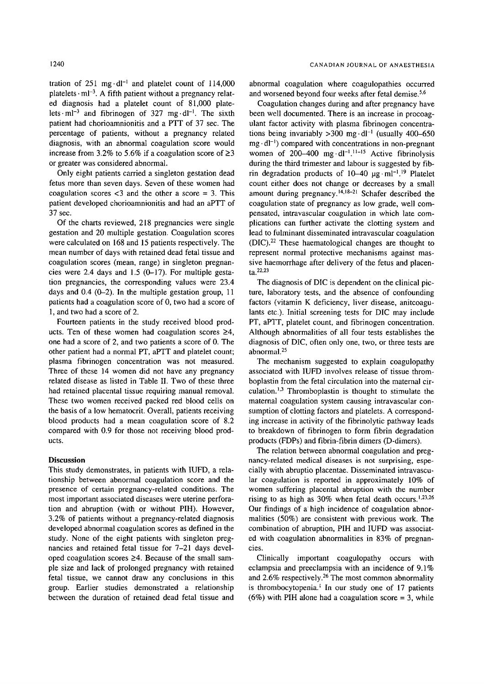tration of  $251 \text{ mg} \cdot \text{dl}^{-1}$  and platelet count of  $114,000$ platelets  $\cdot$  ml<sup>-3</sup>. A fifth patient without a pregnancy related diagnosis had a platelet count of 81,000 platelets  $\cdot$  ml<sup>-3</sup> and fibrinogen of 327 mg $\cdot$ dl<sup>-1</sup>. The sixth patient had chorioamnionitis and a PTT of 37 sec. The percentage of patients, without a pregnancy related diagnosis, with an abnormal coagulation score would increase from 3.2% to 5.6% if a coagulation score of  $\geq$ 3 or greater was considered abnormal.

Only eight patients carried a singleton gestation dead fetus more than seven days. Seven of these women had coagulation scores  $<$ 3 and the other a score = 3. This patient developed chorioamnionitis and had an aPTT of 37 sec.

Of the charts reviewed, 218 pregnancies were single gestation and 20 multiple gestation. Coagulation scores were calculated on 168 and 15 patients respectively. The mean number of days with retained dead fetal tissue and coagulation scores (mean, range) in singleton pregnancies were 2.4 days and 1.5 (0-17). For multiple gestation pregnancies, the corresponding values were 23.4 days and  $0.4$  (0-2). In the multiple gestation group, 11 patients had a coagulation score of 0, two had a score of 1, and two had a score of 2.

Fourteen patients in the study received blood products. Ten of these women had coagulation scores  $\geq 4$ , one had a score of 2, and two patients a score of 0. The other patient had a normal PT, aPTT and platelet count; plasma fibrinogen concentration was not measured. Three of these 14 women did not have any pregnancy related disease as listed in Table II. Two of these three had retained placental tissue requiring manual removal. These two women received packed red blood cells on the basis of a low hematocrit. Overall, patients receiving blood products had a mean coagulation score of 8.2 compared with 0.9 for those not receiving blood products.

#### **Discussion**

This study demonstrates, in patients with IUFD, a relationship between abnormal coagulation score and the presence of certain pregnancy-related conditions. The most important associated diseases were uterine perforation and abruption (with or without PIH). However, 3.2% of patients without a pregnancy-related diagnosis developed abnormal coagulation scores as defined in the study. None of the eight patients with singleton pregnancies and retained fetal tissue for 7-21 days developed coagulation scores  $\geq 4$ . Because of the small sample size and lack of prolonged pregnancy with retained fetal tissue, we cannot draw any conclusions in this group. Earlier studies demonstrated a relationship between the duration of retained dead fetal tissue and

abnormal coagulation where coagulopathies occurred and worsened beyond four weeks after fetal demise.<sup>5,6</sup>

Coagulation changes during and after pregnancy have been well documented. There is an increase in procoagulant factor activity with plasma fibrinogen concentrations being invariably  $>300$  mg·dl<sup>-1</sup> (usually 400-650)  $mg \cdot dl^{-1}$ ) compared with concentrations in non-pregnant women of 200-400 mg $\cdot$ dl<sup>-1 11-15</sup> Active fibrinolysis during the third trimester and labour is suggested by fibrin degradation products of  $10-40 \mu g \cdot ml^{-1}$ .<sup>19</sup> Platelet count either does not change or decreases by a small amount during pregnancy.<sup>14,18-21</sup> Schafer described the coagulation state of pregnancy as low grade, well compensated, intravascular coagulation in which late complications can further activate the clotting system and lead to fulminant disseminated intravascular coagulation  $(DIC).<sup>22</sup>$  These haematological changes are thought to represent normal protective mechanisms against massive haemorrhage after delivery of the fetus and placenta.22,23

The diagnosis of DIC is dependent on the clinical picture, laboratory tests, and the absence of confounding factors (vitamin K deficiency, liver disease, anitcoagulants etc.). Initial screening tests for DIC may include PT, aPTT, platelet count, and fibrinogen concentration. Although abnormalities of all four tests establishes the diagnosis of DIC, often only one, two, or three tests are abnormal. 25

The mechanism suggested to explain coagulopathy associated with IUFD involves release of tissue thromboplastin from the fetal circulation into the maternal circulation.<sup> $1,3$ </sup> Thromboplastin is thought to stimulate the maternal coagulation system causing intravascular consumption of clotting factors and platelets. A corresponding increase in activity of the fibrinolytic pathway leads to breakdown of fibrinogen to form fibrin degradation products (FDPs) and fibrin-fibrin dimers (D-dimers).

The relation between abnormal coagulation and pregnancy-related medical diseases is not surprising, especially with abruptio placentae. Disseminated intravascular coagulation is reported in approximately 10% of women suffering placental abruption with the number rising to as high as  $30\%$  when fetal death occurs.<sup>1,23,26</sup> Our findings of a high incidence of coagulation abnormalities (50%) are consistent with previous work. The combination of abruption, PIH and IUFD was associated with coagulation abnormalities in 83% of pregnancies.

Clinically important coagulopathy occurs with eclampsia and preeclampsia with an incidence of 9.1% and 2.6% respectively.<sup>26</sup> The most common abnormality is thrombocytopenia.<sup> $\mathbf{l}$ </sup> In our study one of 17 patients  $(6\%)$  with PIH alone had a coagulation score = 3, while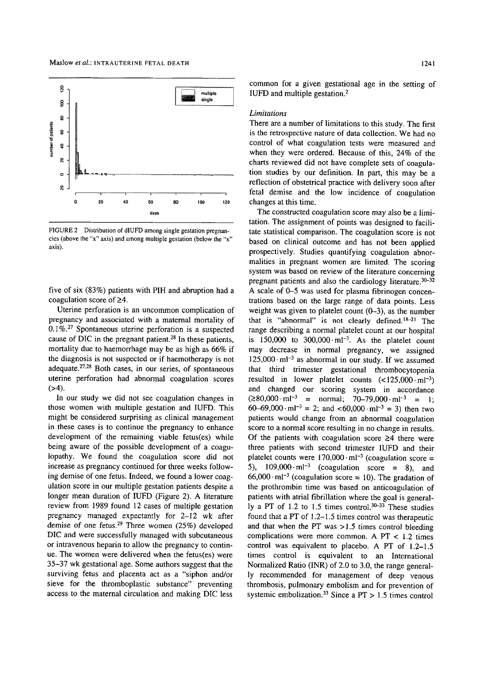

FIGURE 2 Distribution of dlUFD among single gestation pregnancies (above the "x" axis) and among multiple gestation (below the "x" axis).

five of six (83%) patients with PIH and abruption had a coagulation score of  $\geq 4$ .

Uterine perforation is an uncommon complication of pregnancy and associated with a maternal mortality of 0.1%.27 Spontaneous uterine perforation is a suspected cause of DIC in the pregnant patient. 28 In these patients, mortality due to haemorrhage may be as high as 66% if the diagnosis is not suspected or if haemotherapy is not adequate. $27.28$  Both cases, in our series, of spontaneous uterine perforation had abnormal coagulation scores  $(>4)$ .

In our study we did not see coagulation changes in those women with multiple gestation and IUFD. This might be considered surprising as clinical management in these cases is to continue the pregnancy to enhance development of the remaining viable fetus(es) while being aware of the possible development of a coagulopathy. We found the coagulation score did not increase as pregnancy continued for three weeks following demise of one fetus. Indeed, we found a lower coagulation score in our multiple gestation patients despite a longer mean duration of IUFD (Figure 2). A literature review from 1989 found 12 cases of multiple gestation pregnancy managed expectantly for 2-12 wk after demise of one fetus.<sup>29</sup> Three women (25%) developed DIC and were successfully managed with subcutaneous or intravenous heparin to allow the pregnancy to continue. The women were delivered when the fetus(es) were 35-37 wk gestational age. Some authors suggest that the surviving fetus and placenta act as a "siphon and/or sieve for the thromboplastic substance" preventing access to the maternal circulation and making DIC less

common for a given gestationai age in the setting of IUFD and multiple gestation?

#### *Limitations*

There are a number of limitations to this study. The first is the retrospective nature of data collection. We had no control of what coagulation tests were measured and when they were ordered. Because of this, 24% of the charts reviewed did not have complete sets of coagulation studies by our definition. In part, this may be a reflection of obstetrical practice with delivery soon after fetal demise and the low incidence of coagulation changes at this time.

The constructed coagulation score may also be a limitation. The assignment of points was designed to facilitate statistical comparison. The coagulation score is not based on clinical outcome and has not been applied prospectively. Studies quantifying coagulation abnormalities in pregnant women are limited. The scoring system was based on review of the literature concerning pregnant patients and also the cardiology literature. $30-32$ A scale of 0-5 was used for plasma fibrinogen concentrations based on the large range of data points. Less weight was given to platelet count  $(0-3)$ , as the number that is "abnormal" is not clearly defined. $18-21$  The range describing a normal platelet count at our hospital is  $150,000$  to  $300,000 \cdot \text{ml}^{-3}$ . As the platelet count may decrease in normal pregnancy, we assigned  $125,000 \cdot ml^{-3}$  as abnormal in our study. If we assumed that third trimester gestational thrombocytopenia resulted in lower platelet counts  $(<125,000 \cdot ml^{-3})$ and changed our scoring system in accordance  $(\geq 80,000 \cdot \text{ml}^{-3}$  = normal; 70–79,000 $\cdot$ ml<sup>-3</sup> = 1; 60-69,000 $\cdot$ ml<sup>-3</sup> = 2; and <60,000 $\cdot$ ml<sup>-3</sup> = 3) then two patients would change from an abnormal coagulation score to a normal score resulting in no change in results. Of the patients with coagulation score  $\geq 4$  there were three patients with second trimester IUFD and their platelet counts were  $170,000 \cdot \text{m}^{-3}$  (coagulation score = 5),  $109,000 \cdot \text{ml}^{-3}$  (coagulation score = 8), and 66,000 $\cdot$  ml<sup>-3</sup> (coagulation score = 10). The gradation of the prothrombin time was based on anticoagulation of patients with atrial fibrillation where the goal is generally a PT of 1.2 to 1.5 times control. $30-33$  These studies found that a PT of 1.2-1.5 times control was therapeutic and that when the PT was  $>1.5$  times control bleeding complications were more common. A  $PT < 1.2$  times control was equivalent to placebo. A PT of 1.2-1.5 times control is equivalent to an International Normalized Ratio (INR) of 2.0 to 3.0, the range generally recommended for management of deep venous thrombosis, pulmonary embolism and for prevention of systemic embolization.<sup>33</sup> Since a PT  $> 1.5$  times control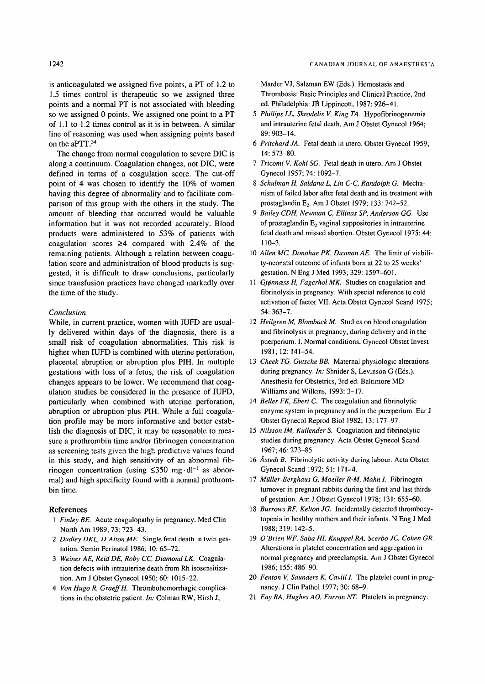is anticoagulated we assigned five points, a PT of 1.2 to 1.5 times control is therapeutic so we assigned three points and a normal PT is not associated with bleeding so we assigned 0 points. We assigned one point to a PT of 1.1 to 1.2 times control as it is in between. A similar line of reasoning was used when assigning points based on the aPTT. 34

The change from normal coagulation to severe DIC is along a continuum. Coagulation changes, not DIC, were defined in terms of a coagulation score. The cut-off point of 4 was chosen to identify the 10% of women having this degree of abnormality and to facilitate comparison of this group with the others in the study. The amount of bleeding that occurred would be valuable information but it was not recorded accurately. Blood products were administered to 53% of patients with coagulation scores  $\geq 4$  compared with 2.4% of the remaining patients. Although a relation between coagulation score and administration of blood products is suggested, it is difficult to draw conclusions, particularly since transfusion practices have changed markedly over the time of the study.

#### *Conclusion*

While, in current practice, women with IUFD are usually delivered within days of the diagnosis, there is a small risk of coagulation abnormalities. This risk is higher when IUFD is combined with uterine perforation, placental abruption or abruption plus PIH. In multiple gestations with loss of a fetus, the risk of coagulation changes appears to be lower. We recommend that coagulation studies be considered in the presence of IUFD, particularly when combined with uterine perforation, abruption or abruption plus PIH. While a full coagulation profile may be more informative and better establish the diagnosis of DIC, it may be reasonable to measure a prothrombin time and/or fibrinogen concentration as screening tests given the high predictive values found in this study, and high sensitivity of an abnormal fibrinogen concentration (using  $\leq 350$  mg·dl<sup>-1</sup> as abnormal) and high specificity found with a normal prothrombin time.

#### **References**

- *1 Finley BE.* Acute coagulopathy in pregnancy. Med Clin North Am 1989; 73: 723-43.
- *2 Dudley DKL, D'Alton ME.* Single fetal death in twin gestation. Semin Perinatoi 1986; 10: 65-72.
- *3 Weiner AE, Reid DE, Roby CC, Diamond LK.* Coagulation defects with intrauterine death from Rh isosensitization. Am J Obstet Gynecol 1950; 60: 1015-22.
- *4 Von Hugo R, GraeffH.* Thrombohemorrhagic complications in the obstetric patient. *In:* Colman RW, Hirsh J,

Marder VJ, Salzman EW (Eds.). Hemostasis and Thrombosis: Basic Principles and Clinical Practice, 2nd ed. Philadelphia: JB Lippincott, 1987: 926-41.

- *5 Phillips LL, Skrodelis V, King TA.* Hypofibrinogenemia and intrauterine fetal death. Am J Obstet Gynecol 1964; 89: 903-14.
- *6 Pritchard JA.* Fetal death in utero. Obstet Gynecol 1959; 14: 573-80.
- *7 Tricomi V, Kohl SG.* Fetal death in utero. Am J Obstet Gynecol 1957; 74: 1092-7.
- *8 Schulman fl, Saldana L, Lin C-C, Randolph G.* Mechanism of failed labor after fetal death and its treatment with prostaglandin E<sub>2</sub>. Am J Obstet 1979; 133: 742-52.
- *9 Bailey CDH, Newman C, Ellinas SP, Anderson GG.* Use of prostaglandin  $E_2$  vaginal suppositories in intrauterine fetal death and missed abortion. Obstet Gynecol 1975; 44: **110-3.**
- 10 *Allen MC, Donohue PK, Dusman AE.* The limit of viability-neonatal outcome of infants born at 22 to 25 weeks' gestation. N Eng J Med 1993; 329: 1597-601.
- 11 Gjønnæss H, Fagerhol MK. Studies on coagulation and fibrinolysis in pregnancy. With special reference to cold activation of factor VII. Acta Obstet Gynecol Scand 1975; 54: 363-7.
- 12 *Hellgren M, Blombäck M. Studies on blood coagulation* and fibrinolysis in pregnancy, during delivery and in the puerperium. I. Normal conditions. Gynecol Obstet Invest 1981; 12: 141-54.
- 13 *Cheek TG, Gutsche BB.* Maternal physiologic alterations during pregnancy. *In:* Shnider S, Levinson G (Eds.). Anesthesia for Obstetrics, 3rd ed. Baltimore MD: Williams and Wilkins, 1993: 3-17.
- 14 *Belier FK, Ebert C.* The coagulation and fibrinolytic enzyme system in pregnancy and in the puerperium. Eur J Obstet Gynecol Reprod Biol 1982; 13: 177-97.
- 15 *Nilsson 1M, KuUender S.* Coagulation and fibrinolytic studies during pregnancy. Acta Obstet Gynecol Scand 1967; 46: 273-85.
- 16 Åstedt B. Fibrinolytic activity during labour. Acta Obstet Gynecol Scand 1972; 51: 171-4.
- 17 *Müller-Berghaus G, Moeller R-M, Mahn I.* Fibrinogen turnover in pregnant rabbits during the first and last thirds of gestation. Am J 0bstet Gynecol 1978; 131: 655-60.
- 18 Burrows RF, Kelton JG. Incidentally detected thrombocytopenia in healthy mothers and their infants. N Eng J Med 1988; 319: 142-5.
- 19 O *'Brien WF, Saba HI, Knuppel RA, Scerbo JC, Cohen GR.*  Alterations in platelet concentration and aggregation in normal pregnancy and preeclampsia. Am J Obstet Gynecol 1986; 155: 486-90.
- 20 *Fenton V, Saunders K, Cavill I.* The platelet count in pregnancy. J Clin Pathol 1977; 30: 68-9.
- 21 *Fay RA, Hughes AO, Farron NT.* Platelets in pregnancy: